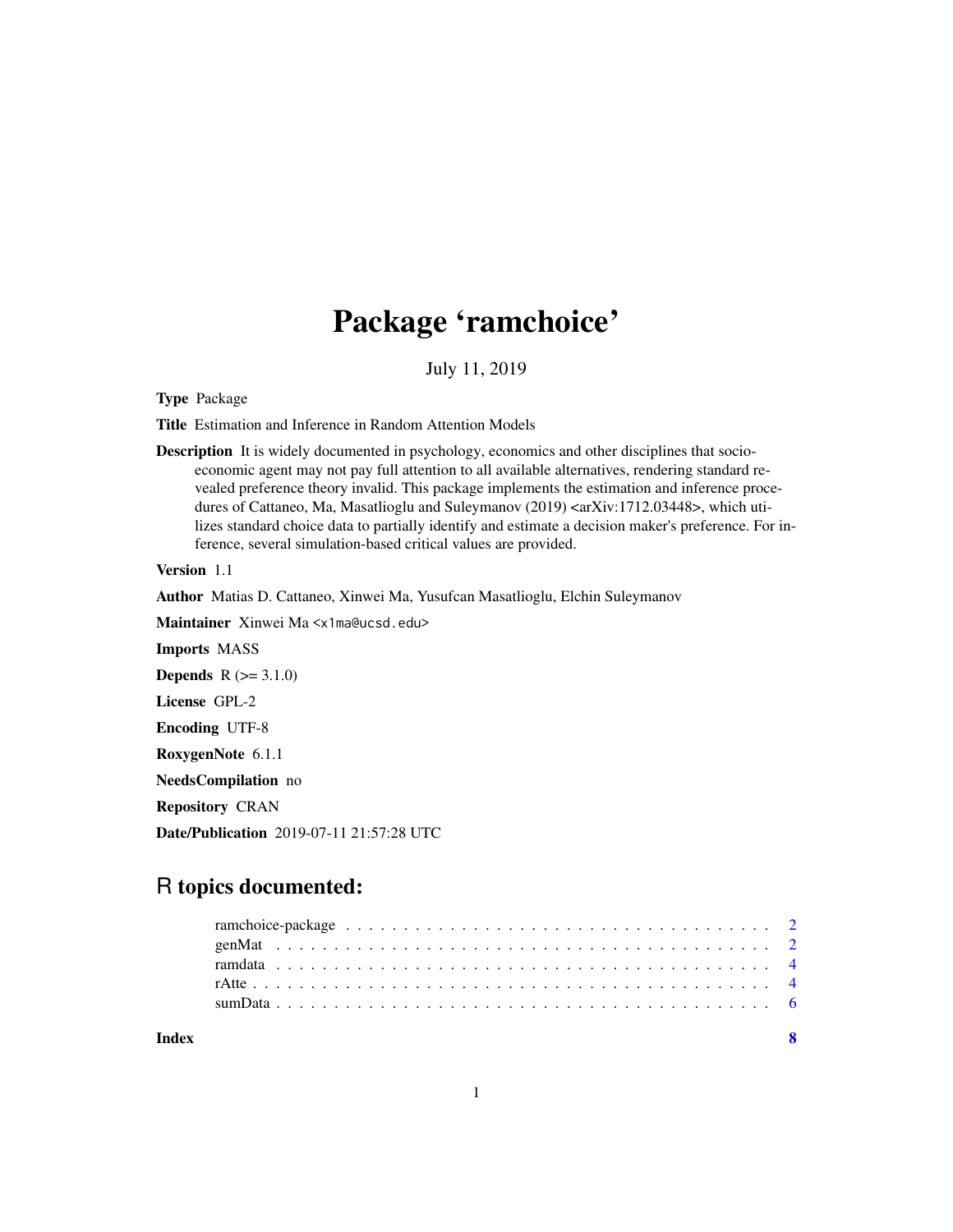## Package 'ramchoice'

July 11, 2019

Type Package

Title Estimation and Inference in Random Attention Models

Description It is widely documented in psychology, economics and other disciplines that socioeconomic agent may not pay full attention to all available alternatives, rendering standard revealed preference theory invalid. This package implements the estimation and inference procedures of Cattaneo, Ma, Masatlioglu and Suleymanov (2019) <arXiv:1712.03448>, which utilizes standard choice data to partially identify and estimate a decision maker's preference. For inference, several simulation-based critical values are provided.

Version 1.1

Author Matias D. Cattaneo, Xinwei Ma, Yusufcan Masatlioglu, Elchin Suleymanov

Maintainer Xinwei Ma <x1ma@ucsd.edu>

Imports MASS

**Depends**  $R (= 3.1.0)$ 

License GPL-2

Encoding UTF-8

RoxygenNote 6.1.1

NeedsCompilation no

Repository CRAN

Date/Publication 2019-07-11 21:57:28 UTC

### R topics documented:

| Index |  |  |  |  |  |  |  |  |  |  |  |  |  |  |  |  |  |  |  |  | $\mathbf{R}$ |
|-------|--|--|--|--|--|--|--|--|--|--|--|--|--|--|--|--|--|--|--|--|--------------|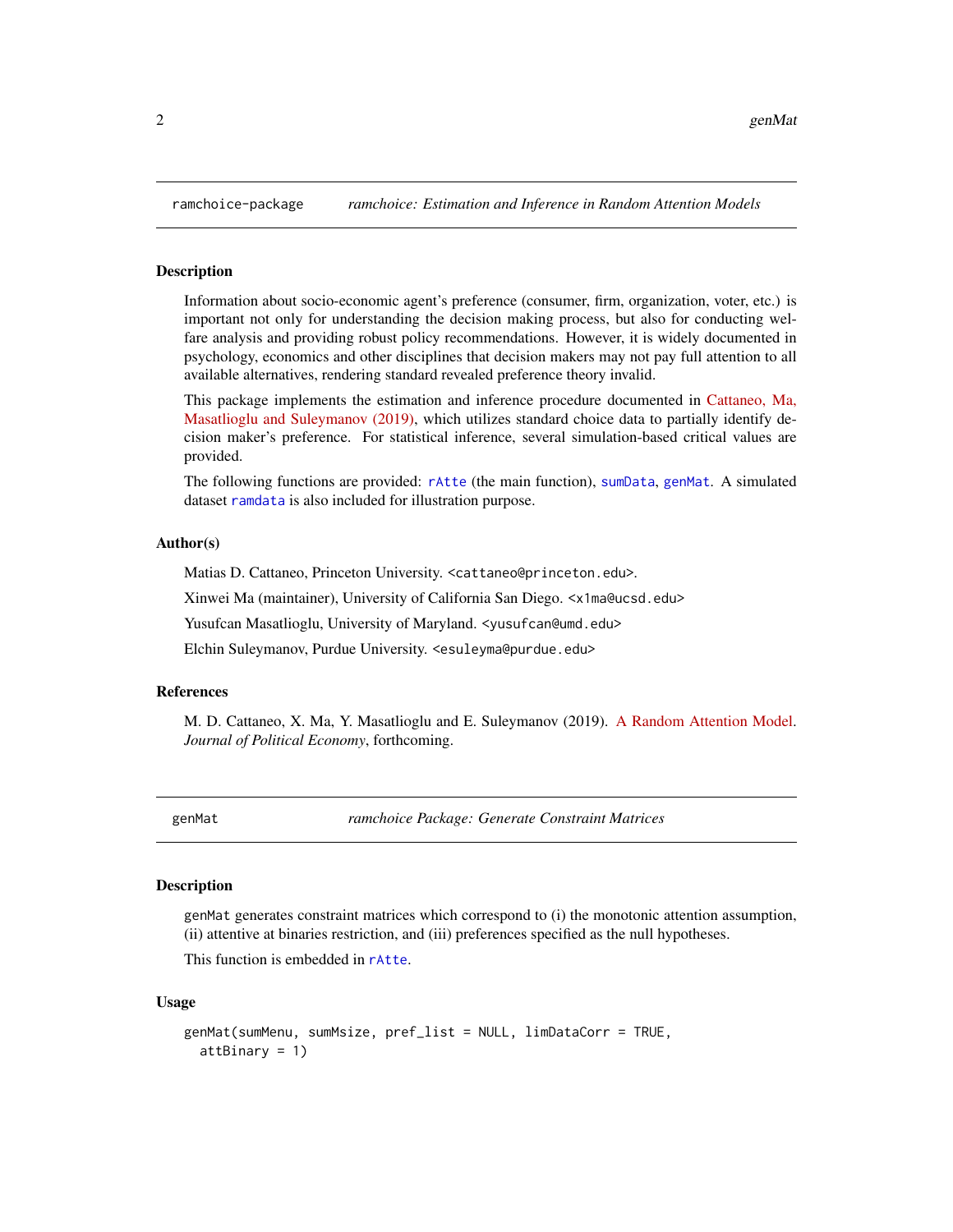<span id="page-1-0"></span>

#### Description

Information about socio-economic agent's preference (consumer, firm, organization, voter, etc.) is important not only for understanding the decision making process, but also for conducting welfare analysis and providing robust policy recommendations. However, it is widely documented in psychology, economics and other disciplines that decision makers may not pay full attention to all available alternatives, rendering standard revealed preference theory invalid.

This package implements the estimation and inference procedure documented in [Cattaneo, Ma,](http://arxiv.org/abs/1712.03448) [Masatlioglu and Suleymanov \(2019\),](http://arxiv.org/abs/1712.03448) which utilizes standard choice data to partially identify decision maker's preference. For statistical inference, several simulation-based critical values are provided.

The following functions are provided: [rAtte](#page-3-1) (the main function), [sumData](#page-5-1), [genMat](#page-1-1). A simulated dataset [ramdata](#page-3-2) is also included for illustration purpose.

#### Author(s)

Matias D. Cattaneo, Princeton University. <cattaneo@princeton.edu>.

Xinwei Ma (maintainer), University of California San Diego. <x1ma@ucsd.edu>

Yusufcan Masatlioglu, University of Maryland. < yusufcan@umd.edu>

Elchin Suleymanov, Purdue University. <esuleyma@purdue.edu>

#### References

M. D. Cattaneo, X. Ma, Y. Masatlioglu and E. Suleymanov (2019). [A Random Attention Model.](http://arxiv.org/abs/1712.03448) *Journal of Political Economy*, forthcoming.

<span id="page-1-1"></span>genMat *ramchoice Package: Generate Constraint Matrices*

#### **Description**

genMat generates constraint matrices which correspond to (i) the monotonic attention assumption, (ii) attentive at binaries restriction, and (iii) preferences specified as the null hypotheses.

This function is embedded in [rAtte](#page-3-1).

#### Usage

```
genMat(sumMenu, sumMsize, pref_list = NULL, limDataCorr = TRUE,
  attBinary = 1)
```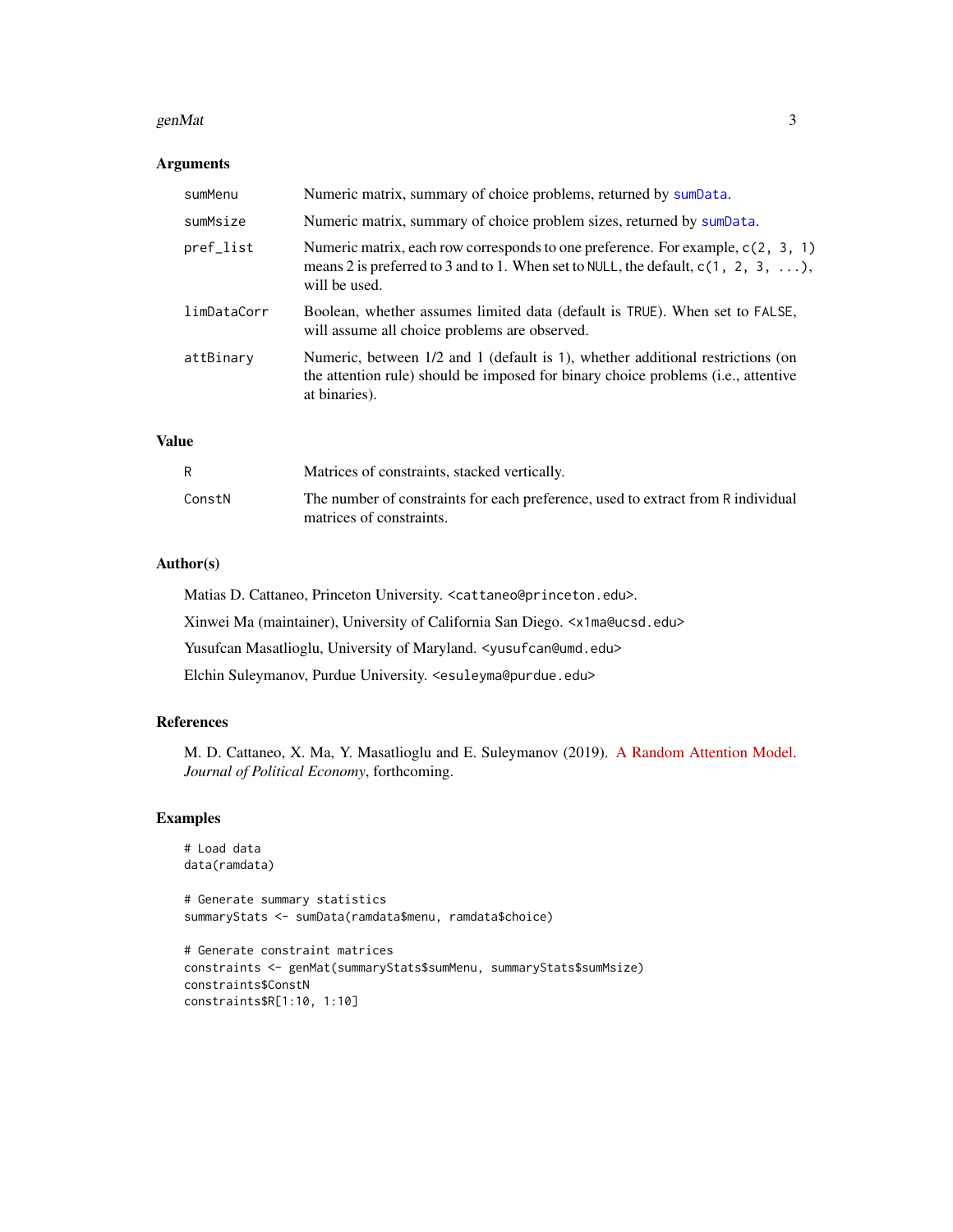#### genMat  $\frac{3}{3}$

#### Arguments

| sumMenu     | Numeric matrix, summary of choice problems, returned by sumData.                                                                                                                                |
|-------------|-------------------------------------------------------------------------------------------------------------------------------------------------------------------------------------------------|
| sumMsize    | Numeric matrix, summary of choice problem sizes, returned by sumData.                                                                                                                           |
| pref_list   | Numeric matrix, each row corresponds to one preference. For example, $c(2, 3, 1)$<br>means 2 is preferred to 3 and to 1. When set to NULL, the default, $c(1, 2, 3, \ldots)$ ,<br>will be used. |
| limDataCorr | Boolean, whether assumes limited data (default is TRUE). When set to FALSE,<br>will assume all choice problems are observed.                                                                    |
| attBinary   | Numeric, between $1/2$ and 1 (default is 1), whether additional restrictions (on<br>the attention rule) should be imposed for binary choice problems (i.e., attentive<br>at binaries).          |

#### Value

|        | Matrices of constraints, stacked vertically.                                                                 |
|--------|--------------------------------------------------------------------------------------------------------------|
| ConstN | The number of constraints for each preference, used to extract from R individual<br>matrices of constraints. |

#### Author(s)

Matias D. Cattaneo, Princeton University. <cattaneo@princeton.edu>. Xinwei Ma (maintainer), University of California San Diego. <x1ma@ucsd.edu> Yusufcan Masatlioglu, University of Maryland. < yusufcan@umd.edu> Elchin Suleymanov, Purdue University. <esuleyma@purdue.edu>

#### References

M. D. Cattaneo, X. Ma, Y. Masatlioglu and E. Suleymanov (2019). [A Random Attention Model.](http://arxiv.org/abs/1712.03448) *Journal of Political Economy*, forthcoming.

#### Examples

```
# Load data
data(ramdata)
# Generate summary statistics
summaryStats <- sumData(ramdata$menu, ramdata$choice)
# Generate constraint matrices
constraints <- genMat(summaryStats$sumMenu, summaryStats$sumMsize)
constraints$ConstN
constraints$R[1:10, 1:10]
```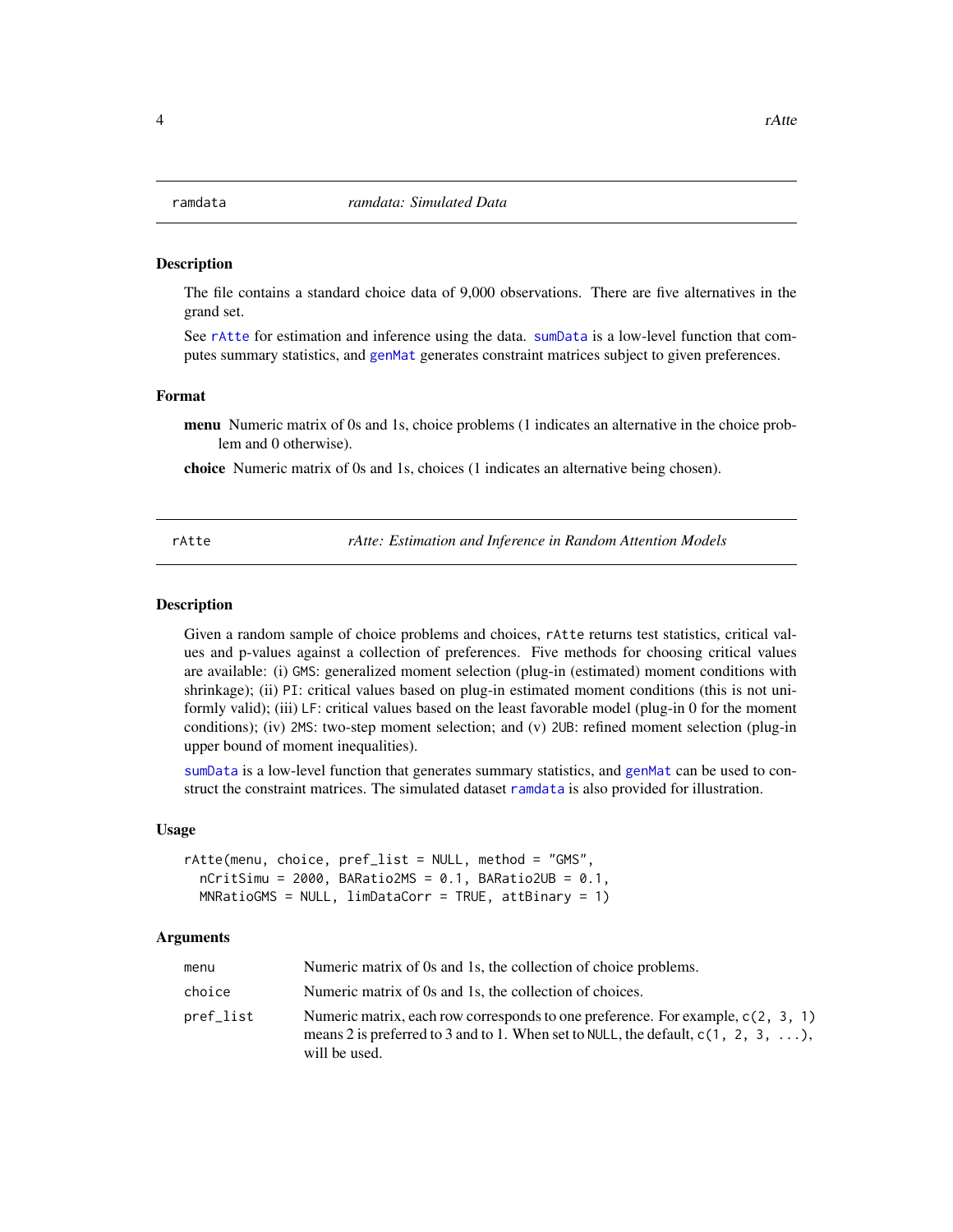#### <span id="page-3-2"></span><span id="page-3-0"></span>**Description**

The file contains a standard choice data of 9,000 observations. There are five alternatives in the grand set.

See [rAtte](#page-3-1) for estimation and inference using the data. [sumData](#page-5-1) is a low-level function that computes summary statistics, and [genMat](#page-1-1) generates constraint matrices subject to given preferences.

#### Format

menu Numeric matrix of 0s and 1s, choice problems (1 indicates an alternative in the choice problem and 0 otherwise).

choice Numeric matrix of 0s and 1s, choices (1 indicates an alternative being chosen).

<span id="page-3-1"></span>rAtte *rAtte: Estimation and Inference in Random Attention Models*

#### Description

Given a random sample of choice problems and choices, rAtte returns test statistics, critical values and p-values against a collection of preferences. Five methods for choosing critical values are available: (i) GMS: generalized moment selection (plug-in (estimated) moment conditions with shrinkage); (ii) PI: critical values based on plug-in estimated moment conditions (this is not uniformly valid); (iii) LF: critical values based on the least favorable model (plug-in 0 for the moment conditions); (iv) 2MS: two-step moment selection; and (v) 2UB: refined moment selection (plug-in upper bound of moment inequalities).

[sumData](#page-5-1) is a low-level function that generates summary statistics, and [genMat](#page-1-1) can be used to construct the constraint matrices. The simulated dataset [ramdata](#page-3-2) is also provided for illustration.

#### Usage

```
rAtte(menu, choice, pref_list = NULL, method = "GMS",
  nCritsimu = 2000, BARatio2MS = 0.1, BARatio2UB = 0.1,
 MNRatioGMS = NULL, limDataCorr = TRUE, attBinary = 1)
```
#### Arguments

| menu      | Numeric matrix of 0s and 1s, the collection of choice problems.                                                                                                                                 |
|-----------|-------------------------------------------------------------------------------------------------------------------------------------------------------------------------------------------------|
| choice    | Numeric matrix of 0s and 1s, the collection of choices.                                                                                                                                         |
| pref_list | Numeric matrix, each row corresponds to one preference. For example, $c(2, 3, 1)$<br>means 2 is preferred to 3 and to 1. When set to NULL, the default, $c(1, 2, 3, \ldots)$ ,<br>will be used. |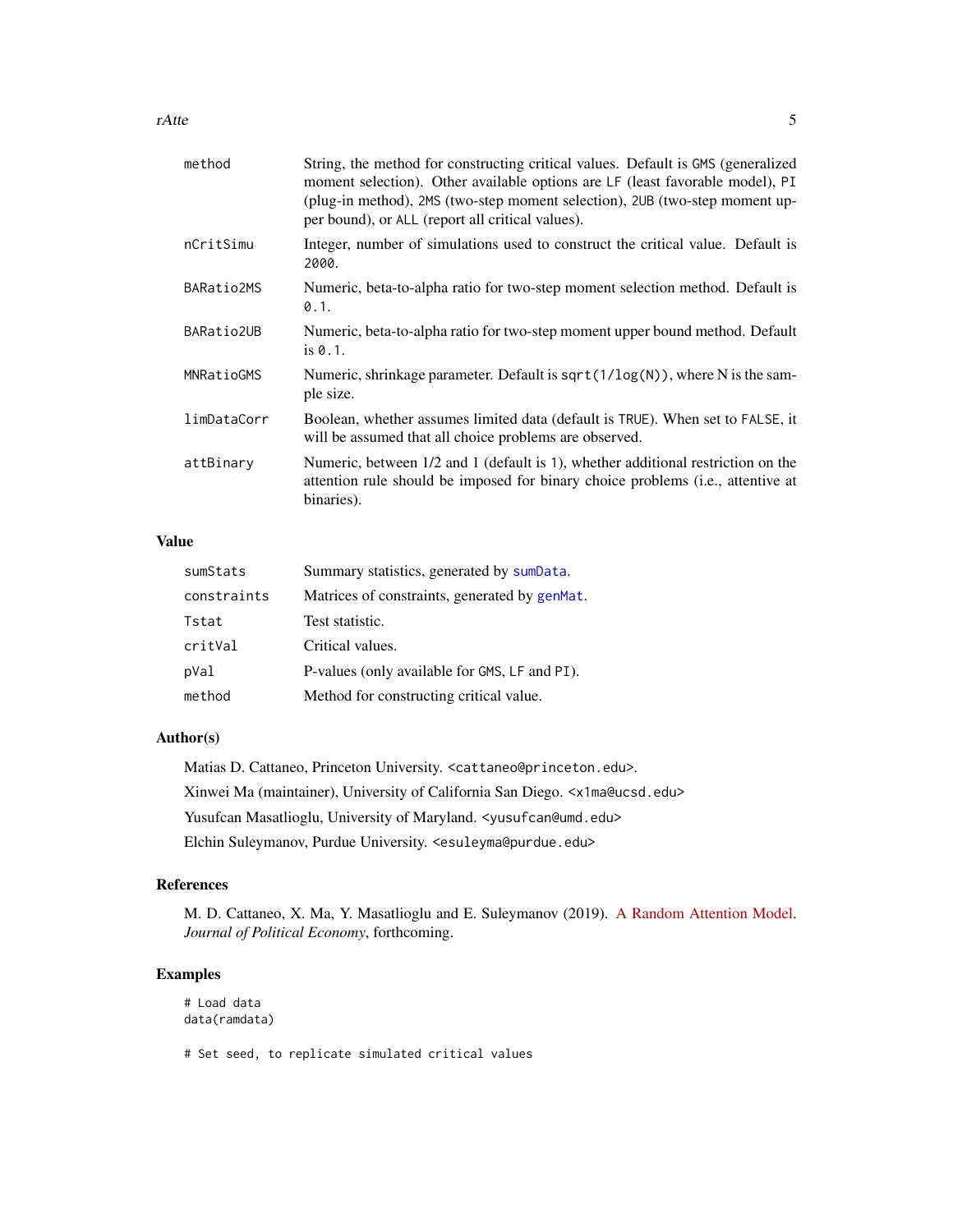#### <span id="page-4-0"></span>rAtte 5

| method      | String, the method for constructing critical values. Default is GMS (generalized<br>moment selection). Other available options are LF (least favorable model), PI<br>(plug-in method), 2MS (two-step moment selection), 2UB (two-step moment up-<br>per bound), or ALL (report all critical values). |
|-------------|------------------------------------------------------------------------------------------------------------------------------------------------------------------------------------------------------------------------------------------------------------------------------------------------------|
| nCritSimu   | Integer, number of simulations used to construct the critical value. Default is<br>2000.                                                                                                                                                                                                             |
| BARatio2MS  | Numeric, beta-to-alpha ratio for two-step moment selection method. Default is<br>0.1.                                                                                                                                                                                                                |
| BARatio2UB  | Numeric, beta-to-alpha ratio for two-step moment upper bound method. Default<br>is $0.1$ .                                                                                                                                                                                                           |
| MNRatioGMS  | Numeric, shrinkage parameter. Default is sqrt(1/log(N)), where N is the sam-<br>ple size.                                                                                                                                                                                                            |
| limDataCorr | Boolean, whether assumes limited data (default is TRUE). When set to FALSE, it<br>will be assumed that all choice problems are observed.                                                                                                                                                             |
| attBinary   | Numeric, between 1/2 and 1 (default is 1), whether additional restriction on the<br>attention rule should be imposed for binary choice problems (i.e., attentive at<br>binaries).                                                                                                                    |
|             |                                                                                                                                                                                                                                                                                                      |

#### Value

| sumStats    | Summary statistics, generated by sumData.     |
|-------------|-----------------------------------------------|
| constraints | Matrices of constraints, generated by genMat. |
| Tstat       | Test statistic.                               |
| critVal     | Critical values.                              |
| pVal        | P-values (only available for GMS, LF and PI). |
| method      | Method for constructing critical value.       |

#### Author(s)

Matias D. Cattaneo, Princeton University. <cattaneo@princeton.edu>. Xinwei Ma (maintainer), University of California San Diego. <x1ma@ucsd.edu> Yusufcan Masatlioglu, University of Maryland. < yusufcan@umd.edu> Elchin Suleymanov, Purdue University. <esuleyma@purdue.edu>

#### References

M. D. Cattaneo, X. Ma, Y. Masatlioglu and E. Suleymanov (2019). [A Random Attention Model.](http://arxiv.org/abs/1712.03448) *Journal of Political Economy*, forthcoming.

#### Examples

```
# Load data
data(ramdata)
# Set seed, to replicate simulated critical values
```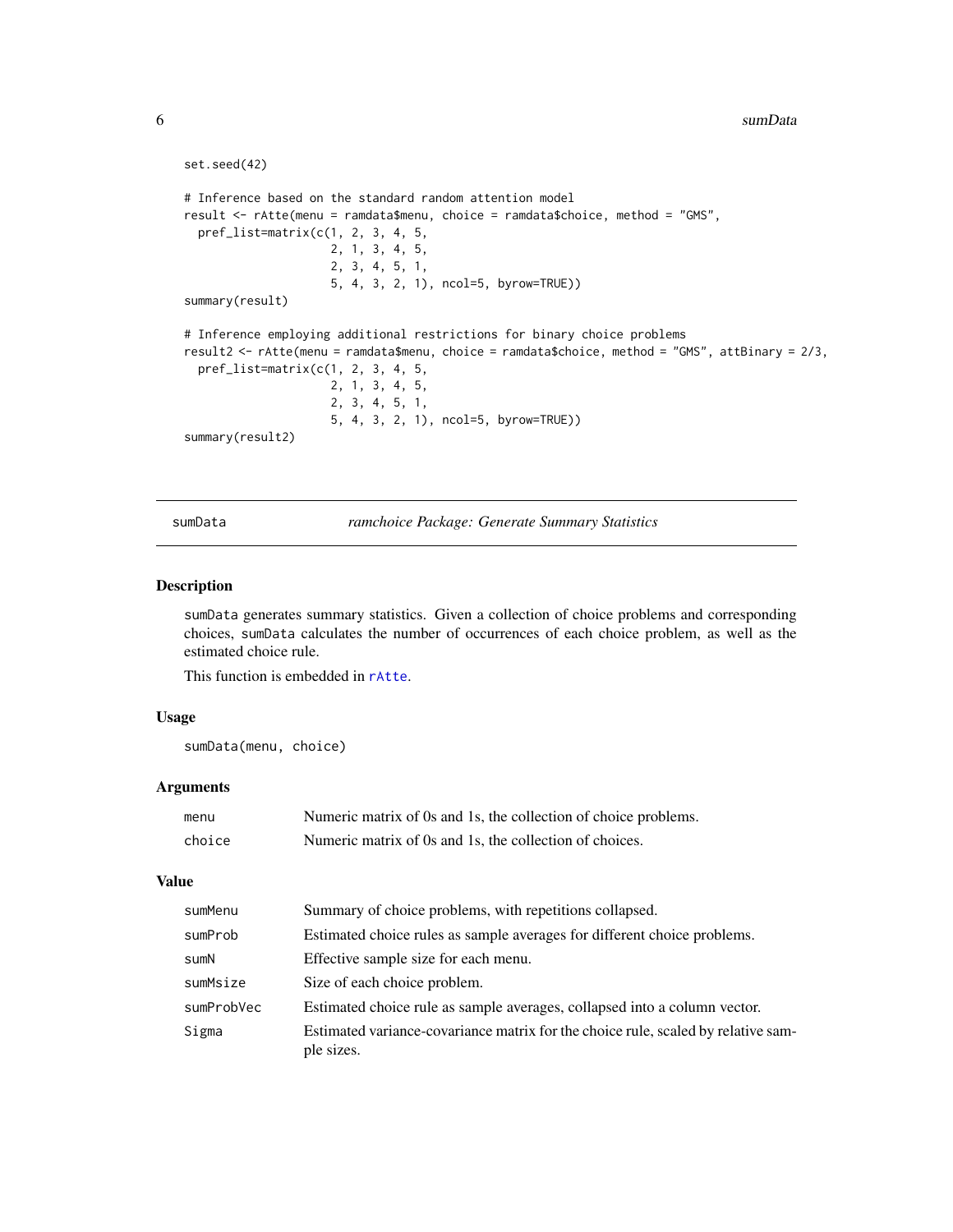```
set.seed(42)
# Inference based on the standard random attention model
result <- rAtte(menu = ramdata$menu, choice = ramdata$choice, method = "GMS",
 pref_list=matrix(c(1, 2, 3, 4, 5,
                     2, 1, 3, 4, 5,
                     2, 3, 4, 5, 1,
                     5, 4, 3, 2, 1), ncol=5, byrow=TRUE))
summary(result)
# Inference employing additional restrictions for binary choice problems
result2 <- rAtte(menu = ramdata$menu, choice = ramdata$choice, method = "GMS", attBinary = 2/3,
 pref_list=matrix(c(1, 2, 3, 4, 5,
                     2, 1, 3, 4, 5,
                     2, 3, 4, 5, 1,
                     5, 4, 3, 2, 1), ncol=5, byrow=TRUE))
summary(result2)
```
<span id="page-5-1"></span>sumData *ramchoice Package: Generate Summary Statistics*

#### Description

sumData generates summary statistics. Given a collection of choice problems and corresponding choices, sumData calculates the number of occurrences of each choice problem, as well as the estimated choice rule.

This function is embedded in [rAtte](#page-3-1).

#### Usage

sumData(menu, choice)

#### Arguments

| menu   | Numeric matrix of 0s and 1s, the collection of choice problems. |
|--------|-----------------------------------------------------------------|
| choice | Numeric matrix of 0s and 1s, the collection of choices.         |

#### Value

| sumMenu    | Summary of choice problems, with repetitions collapsed.                                         |
|------------|-------------------------------------------------------------------------------------------------|
| sumProb    | Estimated choice rules as sample averages for different choice problems.                        |
| sumN       | Effective sample size for each menu.                                                            |
| sumMsize   | Size of each choice problem.                                                                    |
| sumProbVec | Estimated choice rule as sample averages, collapsed into a column vector.                       |
| Sigma      | Estimated variance-covariance matrix for the choice rule, scaled by relative sam-<br>ple sizes. |

<span id="page-5-0"></span>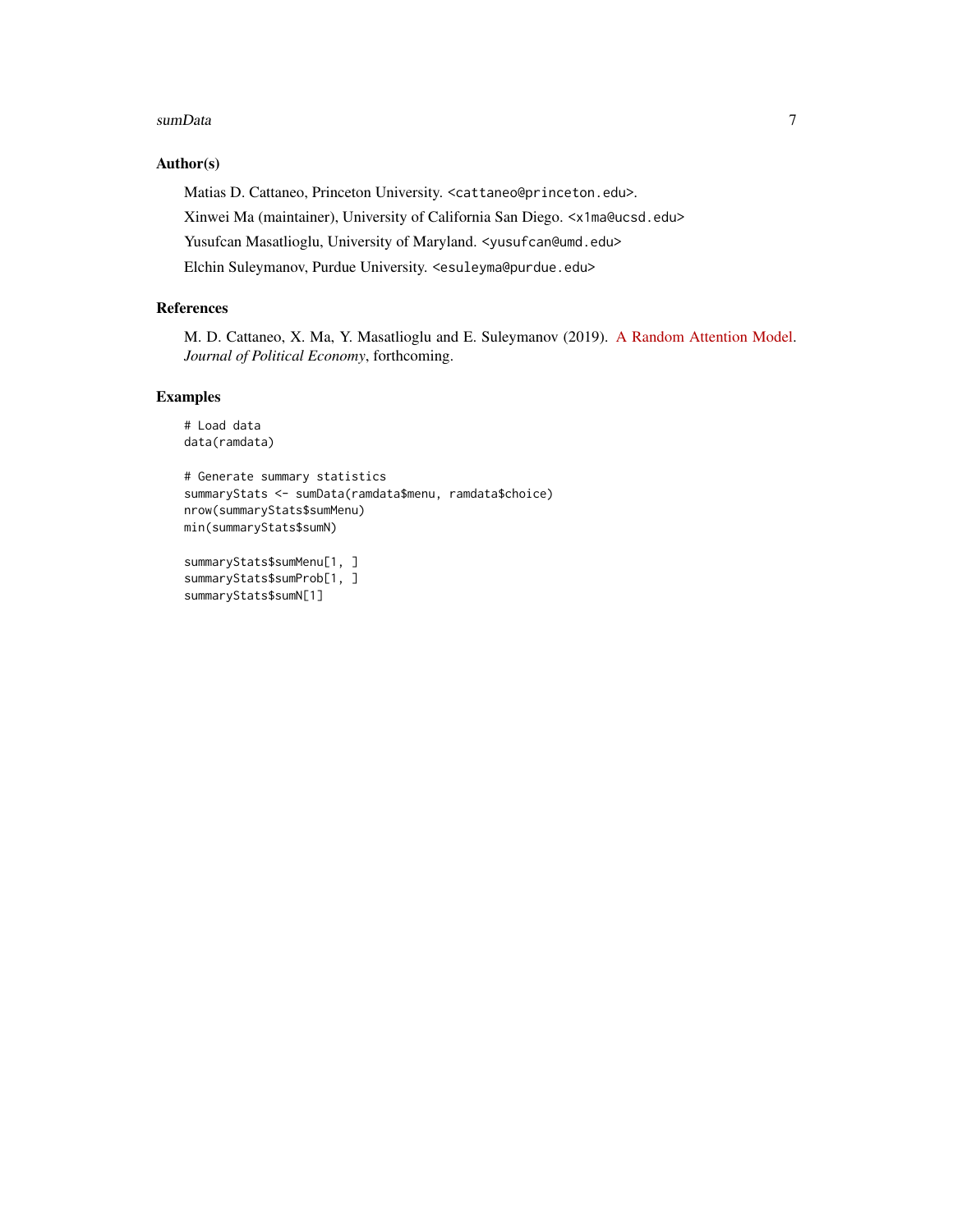#### sumData 7

#### Author(s)

Matias D. Cattaneo, Princeton University. <cattaneo@princeton.edu>. Xinwei Ma (maintainer), University of California San Diego. <x1ma@ucsd.edu> Yusufcan Masatlioglu, University of Maryland. < yusufcan@umd.edu> Elchin Suleymanov, Purdue University. <esuleyma@purdue.edu>

#### References

M. D. Cattaneo, X. Ma, Y. Masatlioglu and E. Suleymanov (2019). [A Random Attention Model.](http://arxiv.org/abs/1712.03448) *Journal of Political Economy*, forthcoming.

#### Examples

```
# Load data
data(ramdata)
```

```
# Generate summary statistics
summaryStats <- sumData(ramdata$menu, ramdata$choice)
nrow(summaryStats$sumMenu)
min(summaryStats$sumN)
```

```
summaryStats$sumMenu[1, ]
summaryStats$sumProb[1, ]
summaryStats$sumN[1]
```